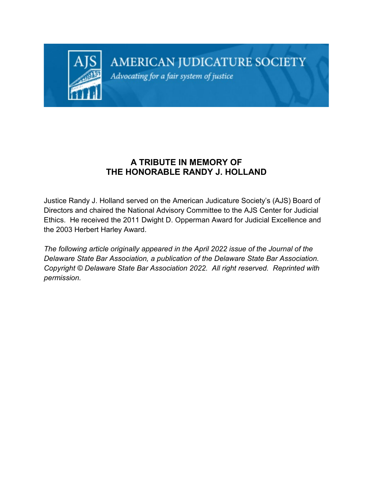

## AMERICAN JUDICATURE SOCIETY

Advocating for a fair system of justice

## **A TRIBUTE IN MEMORY OF THE HONORABLE RANDY J. HOLLAND**

Justice Randy J. Holland served on the American Judicature Society's (AJS) Board of Directors and chaired the National Advisory Committee to the AJS Center for Judicial Ethics. He received the 2011 Dwight D. Opperman Award for Judicial Excellence and the 2003 Herbert Harley Award.

*The following article originally appeared in the April 2022 issue of the Journal of the Delaware State Bar Association, a publication of the Delaware State Bar Association. Copyright © Delaware State Bar Association 2022. All right reserved. Reprinted with permission.*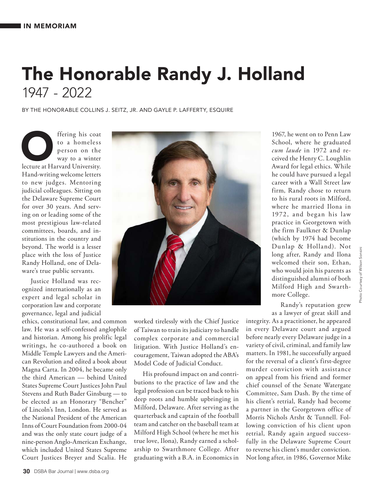## The Honorable Randy J. Holland 1947 - 2022

BY THE HONORABLE COLLINS J. SEITZ, JR. AND GAYLE P. LAFFERTY, ESQUIRE

Fering his coat<br>
to a homeless<br>
person on the<br>
way to a winter<br>
lecture at Harvard University. to a homeless person on the way to a winter Hand-writing welcome letters to new judges. Mentoring judicial colleagues. Sitting on the Delaware Supreme Court for over 30 years. And serving on or leading some of the most prestigious law-related committees, boards, and institutions in the country and beyond. The world is a lesser place with the loss of Justice Randy Holland, one of Delaware's true public servants.

Justice Holland was recognized internationally as an expert and legal scholar in corporation law and corporate governance, legal and judicial

ethics, constitutional law, and common law. He was a self-confessed anglophile and historian. Among his prolific legal writings, he co-authored a book on Middle Temple Lawyers and the American Revolution and edited a book about Magna Carta. In 2004, he became only the third American — behind United States Supreme Court Justices John Paul Stevens and Ruth Bader Ginsburg — to be elected as an Honorary "Bencher" of Lincoln's Inn, London. He served as the National President of the American Inns of Court Foundation from 2000-04 and was the only state court judge of a nine-person Anglo-American Exchange, which included United States Supreme Court Justices Breyer and Scalia. He



worked tirelessly with the Chief Justice of Taiwan to train its judiciary to handle complex corporate and commercial litigation. With Justice Holland's encouragement, Taiwan adopted the ABA's Model Code of Judicial Conduct.

His profound impact on and contributions to the practice of law and the legal profession can be traced back to his deep roots and humble upbringing in Milford, Delaware. After serving as the quarterback and captain of the football team and catcher on the baseball team at Milford High School (where he met his true love, Ilona), Randy earned a scholarship to Swarthmore College. After graduating with a B.A. in Economics in

1967, he went on to Penn Law School, where he graduated *cum laude* in 1972 and received the Henry C. Loughlin Award for legal ethics. While he could have pursued a legal career with a Wall Street law firm, Randy chose to return to his rural roots in Milford, where he married Ilona in 1972, and began his law practice in Georgetown with the firm Faulkner & Dunlap (which by 1974 had become Dunlap & Holland). Not long after, Randy and Ilona welcomed their son, Ethan, who would join his parents as distinguished alumni of both Milford High and Swarthmore College.

Randy's reputation grew as a lawyer of great skill and

integrity. As a practitioner, he appeared in every Delaware court and argued before nearly every Delaware judge in a variety of civil, criminal, and family law matters. In 1981, he successfully argued for the reversal of a client's first-degree murder conviction with assistance on appeal from his friend and former chief counsel of the Senate Watergate Committee, Sam Dash. By the time of his client's retrial, Randy had become a partner in the Georgetown office of Morris Nichols Arsht & Tunnell. Following conviction of his client upon retrial, Randy again argued successfully in the Delaware Supreme Court to reverse his client's murder conviction. Not long after, in 1986, Governor Mike